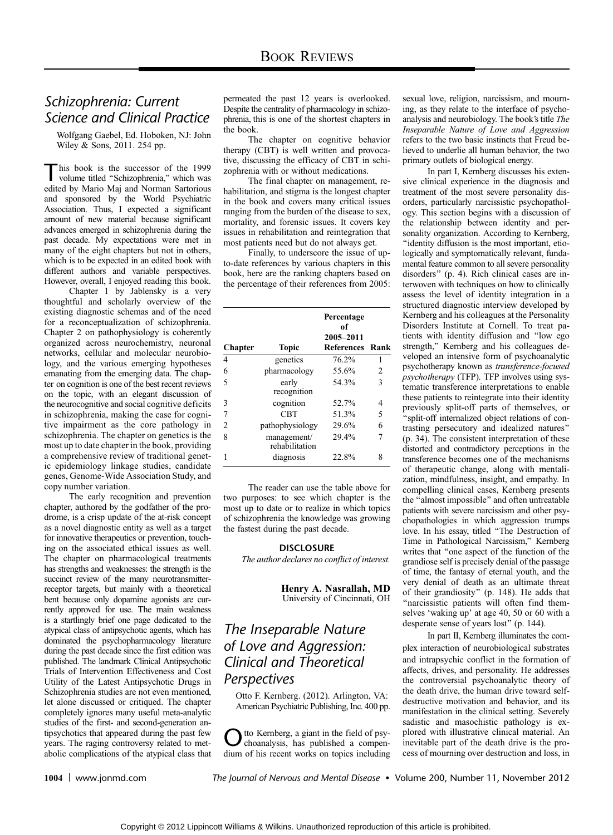### Schizophrenia: Current Science and Clinical Practice

Wolfgang Gaebel, Ed. Hoboken, NJ: John Wiley & Sons, 2011. 254 pp.

his book is the successor of the 1999 volume titled ''Schizophrenia,'' which was edited by Mario Maj and Norman Sartorious and sponsored by the World Psychiatric Association. Thus, I expected a significant amount of new material because significant advances emerged in schizophrenia during the past decade. My expectations were met in many of the eight chapters but not in others, which is to be expected in an edited book with different authors and variable perspectives. However, overall, I enjoyed reading this book.

Chapter 1 by Jablensky is a very thoughtful and scholarly overview of the existing diagnostic schemas and of the need for a reconceptualization of schizophrenia. Chapter 2 on pathophysiology is coherently organized across neurochemistry, neuronal networks, cellular and molecular neurobiology, and the various emerging hypotheses emanating from the emerging data. The chapter on cognition is one of the best recent reviews on the topic, with an elegant discussion of the neurocognitive and social cognitive deficits in schizophrenia, making the case for cognitive impairment as the core pathology in schizophrenia. The chapter on genetics is the most up to date chapter in the book, providing a comprehensive review of traditional genetic epidemiology linkage studies, candidate genes, Genome-Wide Association Study, and copy number variation.

The early recognition and prevention chapter, authored by the godfather of the prodrome, is a crisp update of the at-risk concept as a novel diagnostic entity as well as a target for innovative therapeutics or prevention, touching on the associated ethical issues as well. The chapter on pharmacological treatments has strengths and weaknesses: the strength is the succinct review of the many neurotransmitterreceptor targets, but mainly with a theoretical bent because only dopamine agonists are currently approved for use. The main weakness is a startlingly brief one page dedicated to the atypical class of antipsychotic agents, which has dominated the psychopharmacology literature during the past decade since the first edition was published. The landmark Clinical Antipsychotic Trials of Intervention Effectiveness and Cost Utility of the Latest Antipsychotic Drugs in Schizophrenia studies are not even mentioned, let alone discussed or critiqued. The chapter completely ignores many useful meta-analytic studies of the first- and second-generation antipsychotics that appeared during the past few years. The raging controversy related to metabolic complications of the atypical class that permeated the past 12 years is overlooked. Despite the centrality of pharmacology in schizophrenia, this is one of the shortest chapters in the book.

The chapter on cognitive behavior therapy (CBT) is well written and provocative, discussing the efficacy of CBT in schizophrenia with or without medications.

The final chapter on management, rehabilitation, and stigma is the longest chapter in the book and covers many critical issues ranging from the burden of the disease to sex, mortality, and forensic issues. It covers key issues in rehabilitation and reintegration that most patients need but do not always get.

Finally, to underscore the issue of upto-date references by various chapters in this book, here are the ranking chapters based on the percentage of their references from 2005:

| <b>Chapter</b> | Topic                         | Percentage<br>of<br>2005-2011<br>References Rank |   |
|----------------|-------------------------------|--------------------------------------------------|---|
| 4              | genetics                      | 76.2%                                            | 1 |
| 6              | pharmacology                  | 55.6%                                            | 2 |
| 5              | early<br>recognition          | 54.3%                                            | 3 |
| 3              | cognition                     | 52.7%                                            | 4 |
| 7              | CBT                           | 51.3%                                            | 5 |
| 2              | pathophysiology               | 29.6%                                            | 6 |
| 8              | management/<br>rehabilitation | 29.4%                                            | 7 |
|                | diagnosis                     | 22.8%                                            | 8 |

The reader can use the table above for two purposes: to see which chapter is the most up to date or to realize in which topics of schizophrenia the knowledge was growing the fastest during the past decade.

### **DISCLOSURE**

The author declares no conflict of interest.

Henry A. Nasrallah, MD University of Cincinnati, OH

## The Inseparable Nature of Love and Aggression: Clinical and Theoretical **Perspectives**

Otto F. Kernberg. (2012). Arlington, VA: American Psychiatric Publishing, Inc. 400 pp.

tto Kernberg, a giant in the field of psychoanalysis, has published a compendium of his recent works on topics including sexual love, religion, narcissism, and mourning, as they relate to the interface of psychoanalysis and neurobiology. The book's title The Inseparable Nature of Love and Aggression refers to the two basic instincts that Freud believed to underlie all human behavior, the two primary outlets of biological energy.

In part I, Kernberg discusses his extensive clinical experience in the diagnosis and treatment of the most severe personality disorders, particularly narcissistic psychopathology. This section begins with a discussion of the relationship between identity and personality organization. According to Kernberg, ''identity diffusion is the most important, etiologically and symptomatically relevant, fundamental feature common to all severe personality disorders'' (p. 4). Rich clinical cases are interwoven with techniques on how to clinically assess the level of identity integration in a structured diagnostic interview developed by Kernberg and his colleagues at the Personality Disorders Institute at Cornell. To treat patients with identity diffusion and ''low ego strength,'' Kernberg and his colleagues developed an intensive form of psychoanalytic psychotherapy known as transference-focused psychotherapy (TFP). TFP involves using systematic transference interpretations to enable these patients to reintegrate into their identity previously split-off parts of themselves, or ''split-off internalized object relations of contrasting persecutory and idealized natures'' (p. 34). The consistent interpretation of these distorted and contradictory perceptions in the transference becomes one of the mechanisms of therapeutic change, along with mentalization, mindfulness, insight, and empathy. In compelling clinical cases, Kernberg presents the ''almost impossible'' and often untreatable patients with severe narcissism and other psychopathologies in which aggression trumps love. In his essay, titled ''The Destruction of Time in Pathological Narcissism,'' Kernberg writes that ''one aspect of the function of the grandiose self is precisely denial of the passage of time, the fantasy of eternal youth, and the very denial of death as an ultimate threat of their grandiosity'' (p. 148). He adds that ''narcissistic patients will often find themselves 'waking up' at age 40, 50 or 60 with a desperate sense of years lost'' (p. 144).

In part II, Kernberg illuminates the complex interaction of neurobiological substrates and intrapsychic conflict in the formation of affects, drives, and personality. He addresses the controversial psychoanalytic theory of the death drive, the human drive toward selfdestructive motivation and behavior, and its manifestation in the clinical setting. Severely sadistic and masochistic pathology is explored with illustrative clinical material. An inevitable part of the death drive is the process of mourning over destruction and loss, in

1004 | www.jonmd.com The Journal of Nervous and Mental Disease • Volume 200, Number 11, November 2012